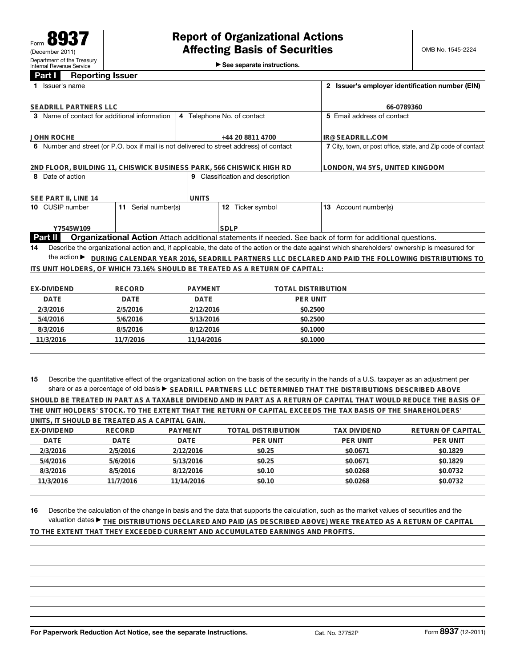See separate instructions.

## **Part I Reporting Issuer**

|                                                                      | 1 Issuer's name                  |                                                                                         | 2 Issuer's employer identification number (EIN) |                 |                                                                             |                                                                                                                                                 |  |  |
|----------------------------------------------------------------------|----------------------------------|-----------------------------------------------------------------------------------------|-------------------------------------------------|-----------------|-----------------------------------------------------------------------------|-------------------------------------------------------------------------------------------------------------------------------------------------|--|--|
|                                                                      | <b>SEADRILL PARTNERS LLC</b>     |                                                                                         |                                                 | 66-0789360      |                                                                             |                                                                                                                                                 |  |  |
| 3 Name of contact for additional information                         |                                  |                                                                                         | 4 Telephone No. of contact                      |                 |                                                                             | 5 Email address of contact                                                                                                                      |  |  |
| <b>JOHN ROCHE</b>                                                    |                                  | +44 20 8811 4700                                                                        |                                                 |                 | IR@SEADRILL.COM                                                             |                                                                                                                                                 |  |  |
|                                                                      |                                  | 6 Number and street (or P.O. box if mail is not delivered to street address) of contact |                                                 |                 | 7 City, town, or post office, state, and Zip code of contact                |                                                                                                                                                 |  |  |
| 2ND FLOOR, BUILDING 11, CHISWICK BUSINESS PARK, 566 CHISWICK HIGH RD |                                  |                                                                                         |                                                 |                 |                                                                             | LONDON, W4 5YS, UNITED KINGDOM                                                                                                                  |  |  |
|                                                                      | 8 Date of action                 |                                                                                         |                                                 |                 | <b>9</b> Classification and description                                     |                                                                                                                                                 |  |  |
| SEE PART II, LINE 14                                                 |                                  | <b>UNITS</b>                                                                            |                                                 |                 |                                                                             |                                                                                                                                                 |  |  |
|                                                                      | 10 CUSIP number                  | 11 Serial number(s)                                                                     |                                                 |                 | 12 Ticker symbol                                                            | 13 Account number(s)                                                                                                                            |  |  |
|                                                                      | Y7545W109                        |                                                                                         |                                                 | <b>SDLP</b>     |                                                                             |                                                                                                                                                 |  |  |
| Part II                                                              |                                  |                                                                                         |                                                 |                 |                                                                             | <b>Organizational Action</b> Attach additional statements if needed. See back of form for additional questions.                                 |  |  |
| 14                                                                   |                                  |                                                                                         |                                                 |                 |                                                                             | Describe the organizational action and, if applicable, the date of the action or the date against which shareholders' ownership is measured for |  |  |
|                                                                      | the action $\blacktriangleright$ |                                                                                         |                                                 |                 |                                                                             | DURING CALENDAR YEAR 2016, SEADRILL PARTNERS LLC DECLARED AND PAID THE FOLLOWING DISTRIBUTIONS TO                                               |  |  |
|                                                                      |                                  |                                                                                         |                                                 |                 | ITS UNIT HOLDERS, OF WHICH 73.16% SHOULD BE TREATED AS A RETURN OF CAPITAL: |                                                                                                                                                 |  |  |
|                                                                      |                                  |                                                                                         |                                                 |                 |                                                                             |                                                                                                                                                 |  |  |
| <b>EX-DIVIDEND</b>                                                   |                                  | <b>RECORD</b>                                                                           | <b>PAYMENT</b>                                  |                 | <b>TOTAL DISTRIBUTION</b>                                                   |                                                                                                                                                 |  |  |
|                                                                      | <b>DATE</b><br><b>DATE</b>       |                                                                                         | <b>DATE</b>                                     | <b>PER UNIT</b> |                                                                             |                                                                                                                                                 |  |  |
|                                                                      | 2/3/2016<br>2/5/2016             |                                                                                         | 2/12/2016                                       |                 | \$0.2500                                                                    |                                                                                                                                                 |  |  |
|                                                                      | 5/4/2016<br>5/6/2016             |                                                                                         | 5/13/2016                                       |                 | \$0.2500                                                                    |                                                                                                                                                 |  |  |
| 8/3/2016                                                             |                                  | 8/5/2016                                                                                | 8/12/2016                                       |                 | \$0.1000                                                                    |                                                                                                                                                 |  |  |
| 11/3/2016                                                            |                                  | 11/7/2016                                                                               | 11/14/2016                                      |                 | \$0.1000                                                                    |                                                                                                                                                 |  |  |

**15** Describe the quantitative effect of the organizational action on the basis of the security in the hands of a U.S. taxpayer as an adjustment per share or as a percentage of old basis▶ <u>SEADRILL PARTNERS LLC DETERMINED THAT THE DISTRIBUTIONS DESCRIBED ABOVE</u>

|                                                                                                              |           |            | SHOULD BE TREATED IN PART AS A TAXABLE DIVIDEND AND IN PART AS A RETURN OF CAPITAL THAT WOULD REDUCE THE BASIS OF |                 |                   |  |  |  |
|--------------------------------------------------------------------------------------------------------------|-----------|------------|-------------------------------------------------------------------------------------------------------------------|-----------------|-------------------|--|--|--|
| THE UNIT HOLDERS' STOCK. TO THE EXTENT THAT THE RETURN OF CAPITAL EXCEEDS THE TAX BASIS OF THE SHAREHOLDERS' |           |            |                                                                                                                   |                 |                   |  |  |  |
| UNITS. IT SHOULD BE TREATED AS A CAPITAL GAIN.                                                               |           |            |                                                                                                                   |                 |                   |  |  |  |
| EX-DIVIDEND                                                                                                  | RECORD    | PAYMENT    | TOTAL DISTRIBUTION                                                                                                | TAX DIVIDEND    | RETURN OF CAPITAL |  |  |  |
| DATE                                                                                                         | DATE      | DATE       | <b>PER UNIT</b>                                                                                                   | <b>PER UNIT</b> | <b>PER UNIT</b>   |  |  |  |
| 2/3/2016                                                                                                     | 2/5/2016  | 2/12/2016  | \$0.25                                                                                                            | \$0.0671        | \$0.1829          |  |  |  |
| 5/4/2016                                                                                                     | 5/6/2016  | 5/13/2016  | \$0.25                                                                                                            | \$0.0671        | \$0.1829          |  |  |  |
| 8/3/2016                                                                                                     | 8/5/2016  | 8/12/2016  | \$0.10                                                                                                            | \$0.0268        | \$0.0732          |  |  |  |
| 11/3/2016                                                                                                    | 11/7/2016 | 11/14/2016 | \$0.10                                                                                                            | \$0.0268        | \$0.0732          |  |  |  |

**16** Describe the calculation of the change in basis and the data that supports the calculation, such as the market values of securities and the valuation dates ▶ THE DISTRIBUTIONS DECLARED AND PAID (AS DESCRIBED ABOVE) WERE TREATED AS A RETURN OF CAPITAL **TO THE EXTENT THAT THEY EXCEEDED CURRENT AND ACCUMULATED EARNINGS AND PROFITS.**